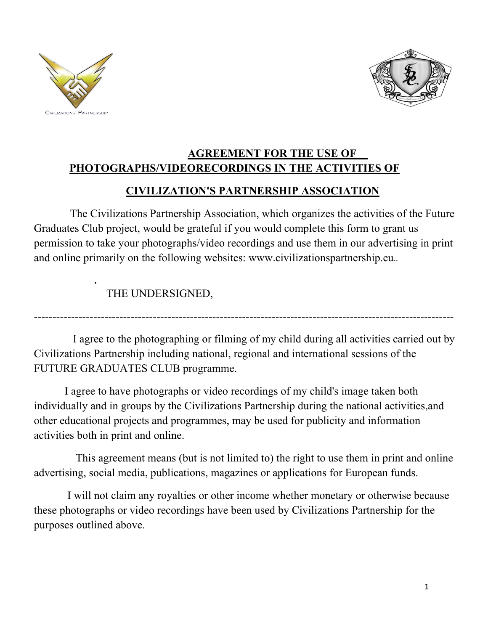

**[.](http://www.neculce.ro/)**



## **AGREEMENT FOR THE USE OF PHOTOGRAPHS/VIDEORECORDINGS IN THE ACTIVITIES OF**

## **CIVILIZATION'S PARTNERSHIP ASSOCIATION**

 The Civilizations Partnership Association, which organizes the activities of the Future Graduates Club project, would be grateful if you would complete this form to grant us permission to take your photographs/video recordings and use them in our advertising in print and online primarily on the following websites: www.civilizationspartnership.eu..

THE UNDERSIGNED,

 I agree to the photographing or filming of my child during all activities carried out by Civilizations Partnership including national, regional and international sessions of the FUTURE GRADUATES CLUB programme.

-----------------------------------------------------------------------------------------------------------------

 I agree to have photographs or video recordings of my child's image taken both individually and in groups by the Civilizations Partnership during the national activities,and other educational projects and programmes, may be used for publicity and information activities both in print and online.

 This agreement means (but is not limited to) the right to use them in print and online advertising, social media, publications, magazines or applications for European funds.

 I will not claim any royalties or other income whether monetary or otherwise because these photographs or video recordings have been used by Civilizations Partnership for the purposes outlined above.